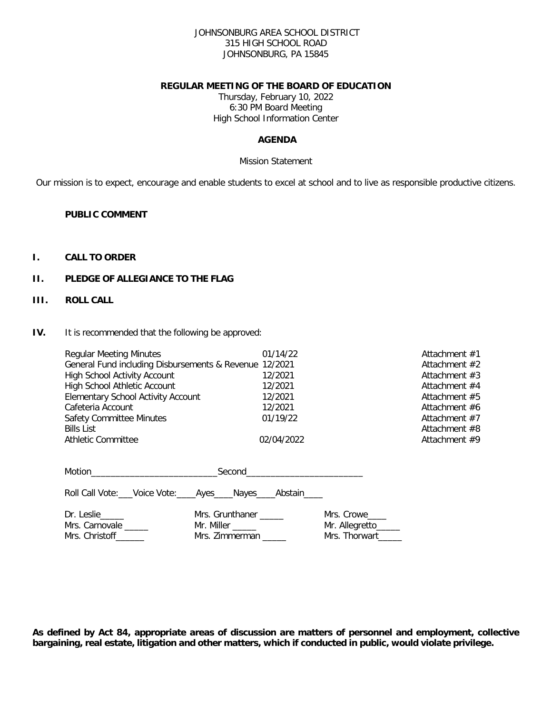#### JOHNSONBURG AREA SCHOOL DISTRICT 315 HIGH SCHOOL ROAD JOHNSONBURG, PA 15845

#### **REGULAR MEETING OF THE BOARD OF EDUCATION**

Thursday, February 10, 2022 6:30 PM Board Meeting High School Information Center

# **AGENDA**

#### Mission Statement

Our mission is to expect, encourage and enable students to excel at school and to live as responsible productive citizens.

### **PUBLIC COMMENT**

### **I. CALL TO ORDER**

# **II. PLEDGE OF ALLEGIANCE TO THE FLAG**

### **III. ROLL CALL**

**IV.** It is recommended that the following be approved:

| <b>Regular Meeting Minutes</b><br>General Fund including Disbursements & Revenue 12/2021<br><b>High School Activity Account</b><br>High School Athletic Account<br><b>Elementary School Activity Account</b><br>Cafeteria Account<br><b>Safety Committee Minutes</b><br><b>Bills List</b><br>Athletic Committee | 01/14/22<br>12/2021<br>12/2021<br>12/2021<br>12/2021<br>01/19/22<br>02/04/2022 |                                                    | Attachment $#1$<br>Attachment #2<br>Attachment $#3$<br>Attachment $#4$<br>Attachment #5<br>Attachment #6<br>Attachment #7<br>Attachment #8<br>Attachment #9 |
|-----------------------------------------------------------------------------------------------------------------------------------------------------------------------------------------------------------------------------------------------------------------------------------------------------------------|--------------------------------------------------------------------------------|----------------------------------------------------|-------------------------------------------------------------------------------------------------------------------------------------------------------------|
| Roll Call Vote: Voice Vote: Ayes Nayes Abstain                                                                                                                                                                                                                                                                  |                                                                                |                                                    |                                                                                                                                                             |
| Dr. Leslie<br>Mrs. Carnovale _____<br>Mrs. Christoff _______                                                                                                                                                                                                                                                    | Mrs. Grunthaner _____<br>Mr. Miller ______<br>Mrs. Zimmerman                   | Mrs. Crowe<br>Mr. Allegretto_____<br>Mrs. Thorwart |                                                                                                                                                             |

**As defined by Act 84, appropriate areas of discussion are matters of personnel and employment, collective bargaining, real estate, litigation and other matters, which if conducted in public, would violate privilege.**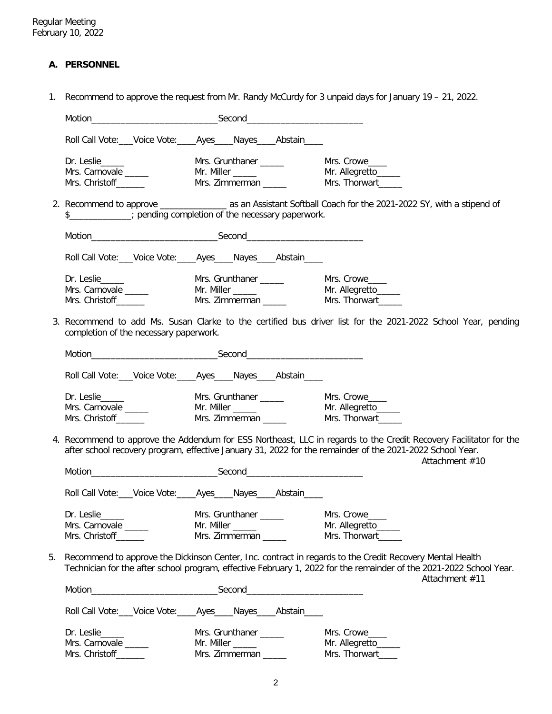# **A. PERSONNEL**

1. Recommend to approve the request from Mr. Randy McCurdy for 3 unpaid days for January 19 – 21, 2022.

|    |                                                                 | Roll Call Vote: ___ Voice Vote: _____ Ayes _____ Nayes _____ Abstain _____ |                                                                                                                                                                                                                                                   |
|----|-----------------------------------------------------------------|----------------------------------------------------------------------------|---------------------------------------------------------------------------------------------------------------------------------------------------------------------------------------------------------------------------------------------------|
|    | Dr. Leslie<br>Mrs. Carnovale _____<br>Mrs. Christoff            | Mrs. Grunthaner ______<br>Mrs. Zimmerman _____                             | Mrs. Crowe<br>Mr. Allegretto_____<br>Mrs. Thorwart                                                                                                                                                                                                |
|    |                                                                 | \$_____________; pending completion of the necessary paperwork.            |                                                                                                                                                                                                                                                   |
|    |                                                                 |                                                                            |                                                                                                                                                                                                                                                   |
|    |                                                                 | Roll Call Vote: ___ Voice Vote: ____ Ayes ____ Nayes ____ Abstain ____     |                                                                                                                                                                                                                                                   |
|    | Dr. Leslie_____<br>Mrs. Carnovale _____<br>Mrs. Christoff______ | Mrs. Grunthaner ______                                                     | Mrs. Crowe                                                                                                                                                                                                                                        |
|    | completion of the necessary paperwork.                          |                                                                            | 3. Recommend to add Ms. Susan Clarke to the certified bus driver list for the 2021-2022 School Year, pending                                                                                                                                      |
|    |                                                                 |                                                                            |                                                                                                                                                                                                                                                   |
|    |                                                                 | Roll Call Vote: ___ Voice Vote: ____ Ayes ____ Nayes ____ Abstain ____     |                                                                                                                                                                                                                                                   |
|    | Dr. Leslie<br>Mrs. Carnovale _____<br>Mrs. Christoff_______     | Mrs. Grunthaner _____<br>Mr. Miller _____<br>Mrs. Zimmerman _____          | Mrs. Crowe<br>Mr. Allegretto______<br>Mrs. Thorwart                                                                                                                                                                                               |
|    |                                                                 |                                                                            | 4. Recommend to approve the Addendum for ESS Northeast, LLC in regards to the Credit Recovery Facilitator for the<br>after school recovery program, effective January 31, 2022 for the remainder of the 2021-2022 School Year.<br>Attachment #10  |
|    |                                                                 |                                                                            |                                                                                                                                                                                                                                                   |
|    |                                                                 | Roll Call Vote: Voice Vote: _____ Ayes _____ Nayes _____ Abstain _____     |                                                                                                                                                                                                                                                   |
|    | Dr. Leslie<br>Mrs. Carnovale _____<br>Mrs. Christoff_______     | Mr. Miller _____<br>Mrs. Zimmerman _____                                   | Mr. Allegretto<br>Mrs. Thorwart                                                                                                                                                                                                                   |
| 5. |                                                                 |                                                                            | Recommend to approve the Dickinson Center, Inc. contract in regards to the Credit Recovery Mental Health<br>Technician for the after school program, effective February 1, 2022 for the remainder of the 2021-2022 School Year.<br>Attachment #11 |
|    |                                                                 |                                                                            |                                                                                                                                                                                                                                                   |
|    |                                                                 | Roll Call Vote: Voice Vote: Ayes Nayes Abstain                             |                                                                                                                                                                                                                                                   |
|    | Dr. Leslie<br>Mrs. Carnovale _____<br>Mrs. Christoff_______     | Mrs. Grunthaner _____<br>Mr. Miller _____<br>Mrs. Zimmerman                | Mrs. Crowe<br>Mr. Allegretto_____<br>Mrs. Thorwart                                                                                                                                                                                                |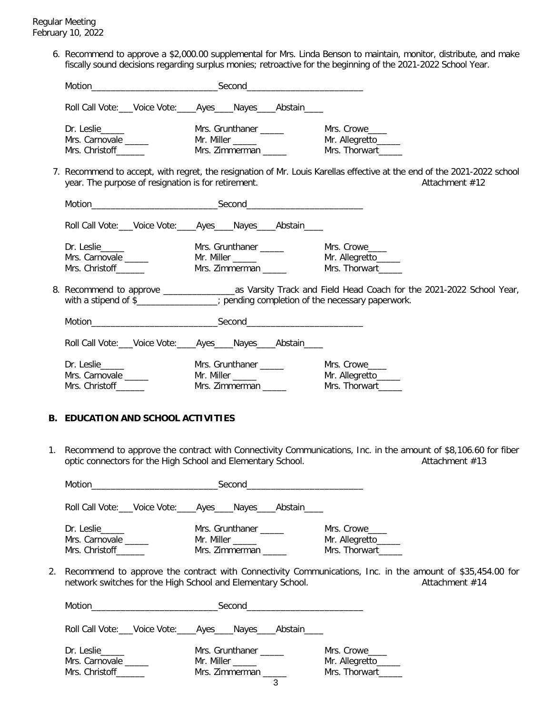6. Recommend to approve a \$2,000.00 supplemental for Mrs. Linda Benson to maintain, monitor, distribute, and make fiscally sound decisions regarding surplus monies; retroactive for the beginning of the 2021-2022 School Year.

|                                                                                      |                                                                   | Roll Call Vote: Voice Vote: Ayes Nayes Abstain                         |                                                                                                                                           |
|--------------------------------------------------------------------------------------|-------------------------------------------------------------------|------------------------------------------------------------------------|-------------------------------------------------------------------------------------------------------------------------------------------|
|                                                                                      | Dr. Leslie______<br>Mrs. Carnovale ______<br>Mrs. Christoff______ | Mrs. Grunthaner ______<br>Mr. Miller ______<br>Mrs. Zimmerman ______   | Mrs. Crowe<br>Mr. Allegretto_____<br>Mrs. Thorwart______                                                                                  |
|                                                                                      | year. The purpose of resignation is for retirement.               |                                                                        | 7. Recommend to accept, with regret, the resignation of Mr. Louis Karellas effective at the end of the 2021-2022 school<br>Attachment #12 |
|                                                                                      |                                                                   |                                                                        |                                                                                                                                           |
|                                                                                      |                                                                   | Roll Call Vote: Voice Vote: _____ Ayes _____ Nayes _____ Abstain _____ |                                                                                                                                           |
|                                                                                      | Mrs. Carnovale _____<br>Mrs. Christoff_______                     | Mrs. Zimmerman ______                                                  | Mrs. Thorwart                                                                                                                             |
| with a stipend of \$________________; pending completion of the necessary paperwork. |                                                                   |                                                                        |                                                                                                                                           |
|                                                                                      |                                                                   |                                                                        |                                                                                                                                           |
|                                                                                      |                                                                   | Roll Call Vote: Voice Vote: Ayes Nayes Abstain                         |                                                                                                                                           |
|                                                                                      | Mrs. Carnovale _____<br>Mrs. Christoff                            | Mrs. Grunthaner ______<br>Mr. Miller ______<br>Mrs. Zimmerman          | Mrs. Crowe<br>Mr. Allegretto_____<br>Mrs. Thorwart                                                                                        |

## **B. EDUCATION AND SCHOOL ACTIVITIES**

1. Recommend to approve the contract with Connectivity Communications, Inc. in the amount of \$8,106.60 for fiber optic connectors for the High School and Elementary School. Attachment #13 optic connectors for the High School and Elementary School.

|                                                                                                                                                                                                 |                                                            | Roll Call Vote: Voice Vote: Ayes Nayes Abstain                         |                                                     |
|-------------------------------------------------------------------------------------------------------------------------------------------------------------------------------------------------|------------------------------------------------------------|------------------------------------------------------------------------|-----------------------------------------------------|
|                                                                                                                                                                                                 | Dr. Leslie_____<br>Mrs. Carnovale<br>Mrs. Christoff        | Mrs. Grunthaner<br>Mr. Miller ______<br>Mrs. Zimmerman                 | Mrs. Crowe<br>Mr. Allegretto______<br>Mrs. Thorwart |
| 2. Recommend to approve the contract with Connectivity Communications, Inc. in the amount of \$35,454.00 for<br>network switches for the High School and Elementary School.<br>Attachment $#14$ |                                                            |                                                                        |                                                     |
|                                                                                                                                                                                                 |                                                            |                                                                        |                                                     |
|                                                                                                                                                                                                 |                                                            | Roll Call Vote: Voice Vote: _____ Ayes _____ Nayes _____ Abstain _____ |                                                     |
|                                                                                                                                                                                                 | Dr. Leslie_____<br>Mrs. Carnovale<br>Mrs. Christoff_______ | Mrs. Grunthaner _____<br>Mr. Miller ______<br>Mrs. Zimmerman<br>3      | Mrs. Crowe<br>Mr. Allegretto______<br>Mrs. Thorwart |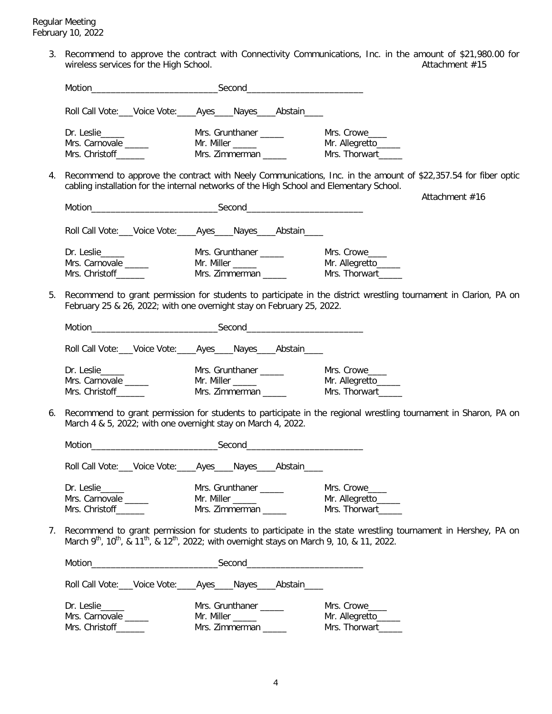3. Recommend to approve the contract with Connectivity Communications, Inc. in the amount of \$21,980.00 for wireless services for the High School.  $\hphantom{i}$ 

|    |                                                                     | Roll Call Vote: __Voice Vote: ____Ayes ____ Nayes ____ Abstain ____                                                                                                                                                            |                                                                                                                  |
|----|---------------------------------------------------------------------|--------------------------------------------------------------------------------------------------------------------------------------------------------------------------------------------------------------------------------|------------------------------------------------------------------------------------------------------------------|
|    | Dr. Leslie______<br>Mrs. Carnovale ______<br>Mrs. Christoff _______ | Mrs. Grunthaner ______<br>Mrs. Zimmerman _____                                                                                                                                                                                 | Mrs. Crowe<br>Mr. Allegretto_____<br>Mrs. Thorwart                                                               |
| 4. |                                                                     | cabling installation for the internal networks of the High School and Elementary School.                                                                                                                                       | Recommend to approve the contract with Neely Communications, Inc. in the amount of \$22,357.54 for fiber optic   |
|    |                                                                     | Motion Second Second Second Second Second Second Second Second Second Second Second Second Second Second Second Second Second Second Second Second Second Second Second Second Second Second Second Second Second Second Secon | Attachment #16                                                                                                   |
|    |                                                                     | Roll Call Vote: ___ Voice Vote: ____ Ayes ____ Nayes ____ Abstain ____                                                                                                                                                         |                                                                                                                  |
|    | Dr. Leslie______<br>Mrs. Carnovale ______<br>Mrs. Christoff_______  | Mrs. Grunthaner <b>with a community</b> Mr. Miller <b>with a community of the community</b><br>Mrs. Zimmerman _____                                                                                                            | Mrs. Crowe<br>Mr. Allegretto_____<br>Mrs. Thorwart______                                                         |
| 5. |                                                                     | February 25 & 26, 2022; with one overnight stay on February 25, 2022.                                                                                                                                                          | Recommend to grant permission for students to participate in the district wrestling tournament in Clarion, PA on |
|    |                                                                     | Motion Second Second Second Communication Second Communication of the Communication of the Communication of the Communication of the Communication of the Communication of the Communication of the Communication of the Commu |                                                                                                                  |
|    |                                                                     | Roll Call Vote: ___ Voice Vote: ____ Ayes ____ Nayes ____ Abstain ____                                                                                                                                                         |                                                                                                                  |
|    | Dr. Leslie<br>Mrs. Carnovale ______<br>Mrs. Christoff________       | Mrs. Grunthaner ______<br>Mr. Miller _______<br>Mrs. Zimmerman _____                                                                                                                                                           | Mrs. Crowe<br>Mr. Allegretto______<br>Mrs. Thorwart                                                              |
| 6. | March 4 & 5, 2022; with one overnight stay on March 4, 2022.        |                                                                                                                                                                                                                                | Recommend to grant permission for students to participate in the regional wrestling tournament in Sharon, PA on  |
|    |                                                                     |                                                                                                                                                                                                                                |                                                                                                                  |
|    |                                                                     | Roll Call Vote: Voice Vote: Ayes Nayes Abstain                                                                                                                                                                                 |                                                                                                                  |
|    | Dr. Leslie_____<br>Mrs. Carnovale<br>Mrs. Christoff______           | Mrs. Grunthaner _____<br>Mr. Miller ______<br>Mrs. Zimmerman                                                                                                                                                                   | Mrs. Crowe<br>Mr. Allegretto_____<br>Mrs. Thorwart_____                                                          |
| 7. |                                                                     | March 9 <sup>th</sup> , 10 <sup>th</sup> , & 11 <sup>th</sup> , & 12 <sup>th</sup> , 2022; with overnight stays on March 9, 10, & 11, 2022.                                                                                    | Recommend to grant permission for students to participate in the state wrestling tournament in Hershey, PA on    |
|    |                                                                     |                                                                                                                                                                                                                                |                                                                                                                  |
|    |                                                                     | Roll Call Vote: ___ Voice Vote: ____ Ayes ____ Nayes ____ Abstain ____                                                                                                                                                         |                                                                                                                  |
|    | Dr. Leslie_____<br>Mrs. Carnovale                                   | Mrs. Grunthaner _____<br>Mr. Miller ______                                                                                                                                                                                     | Mrs. Crowe<br>Mr. Allegretto_____                                                                                |

Mrs. Christoff\_\_\_\_\_\_\_ Mrs. Zimmerman \_\_\_\_\_\_ Mrs. Thorwart\_\_\_\_\_\_